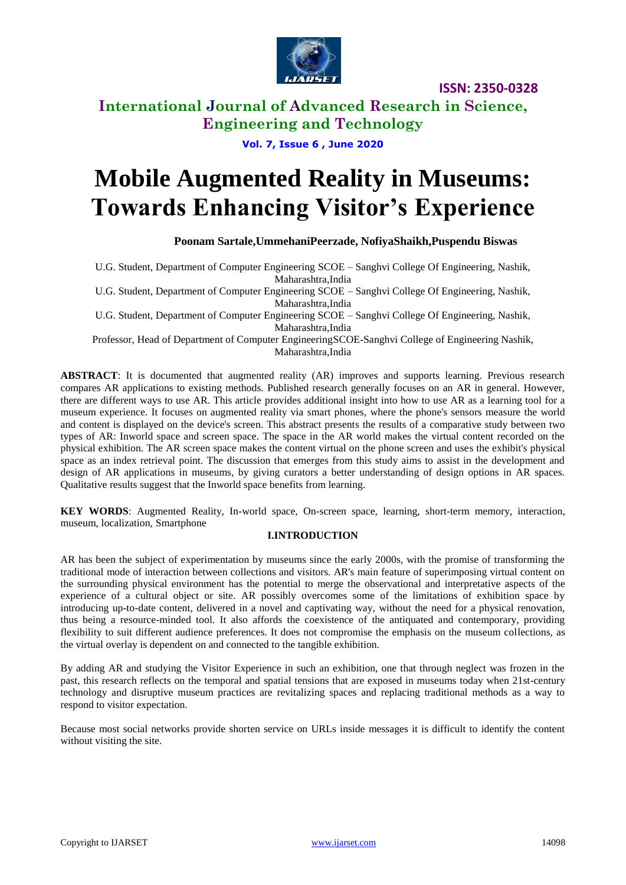

**ISSN: 2350-0328**

### **International Journal of Advanced Research in Science, Engineering and Technology**

#### **Vol. 7, Issue 6 , June 2020**

# **Mobile Augmented Reality in Museums: Towards Enhancing Visitor's Experience**

#### **Poonam Sartale,UmmehaniPeerzade, NofiyaShaikh,Puspendu Biswas**

U.G. Student, Department of Computer Engineering SCOE – Sanghvi College Of Engineering, Nashik, Maharashtra,India

U.G. Student, Department of Computer Engineering SCOE – Sanghvi College Of Engineering, Nashik, Maharashtra,India

U.G. Student, Department of Computer Engineering SCOE – Sanghvi College Of Engineering, Nashik, Maharashtra,India

Professor, Head of Department of Computer EngineeringSCOE-Sanghvi College of Engineering Nashik, Maharashtra,India

**ABSTRACT**: It is documented that augmented reality (AR) improves and supports learning. Previous research compares AR applications to existing methods. Published research generally focuses on an AR in general. However, there are different ways to use AR. This article provides additional insight into how to use AR as a learning tool for a museum experience. It focuses on augmented reality via smart phones, where the phone's sensors measure the world and content is displayed on the device's screen. This abstract presents the results of a comparative study between two types of AR: Inworld space and screen space. The space in the AR world makes the virtual content recorded on the physical exhibition. The AR screen space makes the content virtual on the phone screen and uses the exhibit's physical space as an index retrieval point. The discussion that emerges from this study aims to assist in the development and design of AR applications in museums, by giving curators a better understanding of design options in AR spaces. Qualitative results suggest that the Inworld space benefits from learning.

**KEY WORDS**: Augmented Reality, In-world space, On-screen space, learning, short-term memory, interaction, museum, localization, Smartphone

#### **I.INTRODUCTION**

AR has been the subject of experimentation by museums since the early 2000s, with the promise of transforming the traditional mode of interaction between collections and visitors. AR's main feature of superimposing virtual content on the surrounding physical environment has the potential to merge the observational and interpretative aspects of the experience of a cultural object or site. AR possibly overcomes some of the limitations of exhibition space by introducing up-to-date content, delivered in a novel and captivating way, without the need for a physical renovation, thus being a resource-minded tool. It also affords the coexistence of the antiquated and contemporary, providing flexibility to suit different audience preferences. It does not compromise the emphasis on the museum collections, as the virtual overlay is dependent on and connected to the tangible exhibition.

By adding AR and studying the Visitor Experience in such an exhibition, one that through neglect was frozen in the past, this research reflects on the temporal and spatial tensions that are exposed in museums today when 21st-century technology and disruptive museum practices are revitalizing spaces and replacing traditional methods as a way to respond to visitor expectation.

Because most social networks provide shorten service on URLs inside messages it is difficult to identify the content without visiting the site.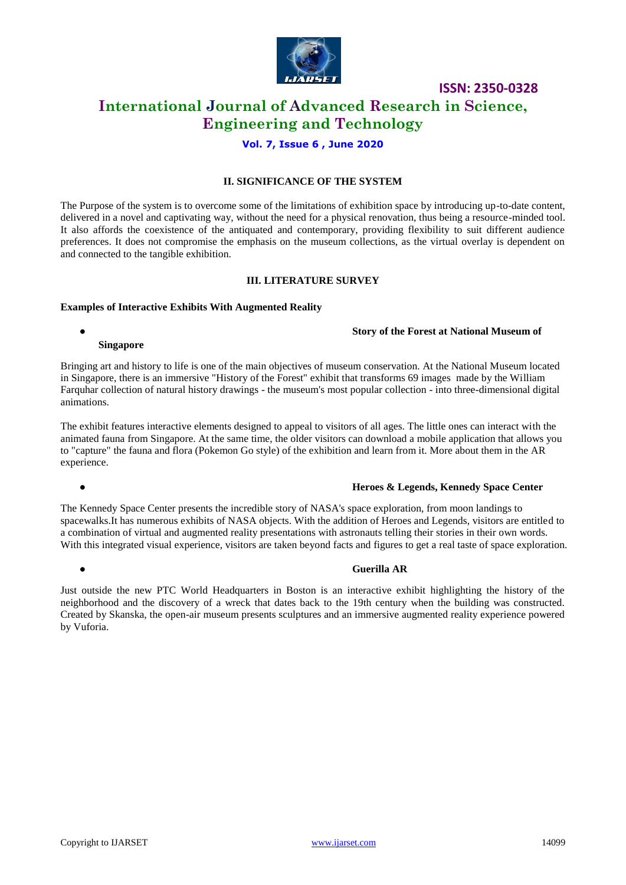

**ISSN: 2350-0328**

### **International Journal of Advanced Research in Science, Engineering and Technology**

#### **Vol. 7, Issue 6 , June 2020**

#### **II. SIGNIFICANCE OF THE SYSTEM**

The Purpose of the system is to overcome some of the limitations of exhibition space by introducing up-to-date content, delivered in a novel and captivating way, without the need for a physical renovation, thus being a resource-minded tool. It also affords the coexistence of the antiquated and contemporary, providing flexibility to suit different audience preferences. It does not compromise the emphasis on the museum collections, as the virtual overlay is dependent on and connected to the tangible exhibition.

#### **III. LITERATURE SURVEY**

#### **Examples of Interactive Exhibits With Augmented Reality**

#### ● **Story of the Forest at National Museum of**

#### **Singapore**

Bringing art and history to life is one of the main objectives of museum conservation. At the National Museum located in Singapore, there is an immersive "History of the Forest" exhibit that transforms 69 images made by the William Farquhar collection of natural history drawings - the museum's most popular collection - into three-dimensional digital animations.

The exhibit features interactive elements designed to appeal to visitors of all ages. The little ones can interact with the animated fauna from Singapore. At the same time, the older visitors can download a mobile application that allows you to "capture" the fauna and flora (Pokemon Go style) of the exhibition and learn from it. More about them in the AR experience.

#### ● **Heroes & Legends, Kennedy Space Center**

The Kennedy Space Center presents the incredible story of NASA's space exploration, from moon landings to spacewalks.It has numerous exhibits of NASA objects. With the addition of Heroes and Legends, visitors are entitled to a combination of virtual and augmented reality presentations with astronauts telling their stories in their own words. With this integrated visual experience, visitors are taken beyond facts and figures to get a real taste of space exploration.

#### ● **Guerilla AR**

Just outside the new PTC World Headquarters in Boston is an interactive exhibit highlighting the history of the neighborhood and the discovery of a wreck that dates back to the 19th century when the building was constructed. Created by Skanska, the open-air museum presents sculptures and an immersive augmented reality experience powered by Vuforia.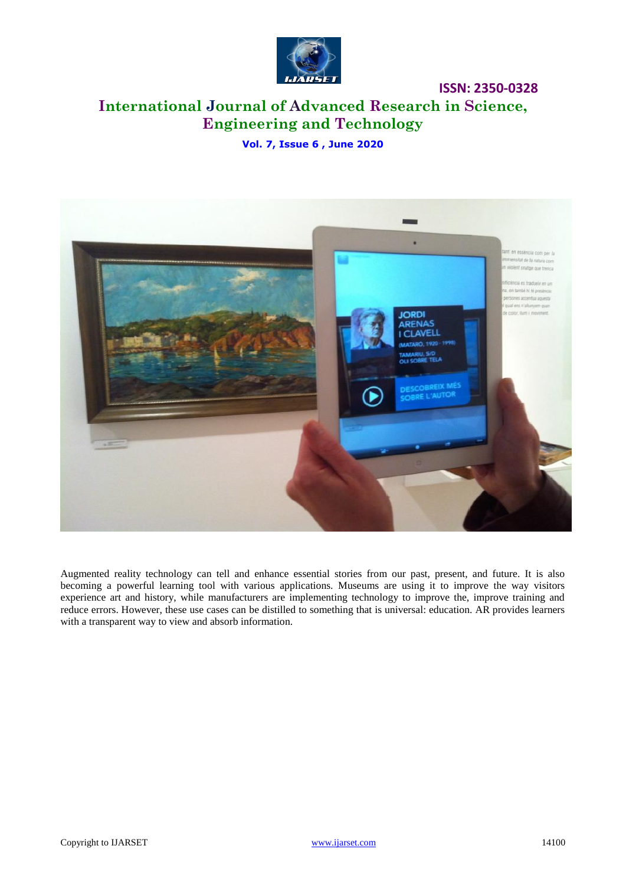

# **International Journal of Advanced Research in Science, Engineering and Technology**

**ISSN: 2350-0328**

**Vol. 7, Issue 6 , June 2020**



Augmented reality technology can tell and enhance essential stories from our past, present, and future. It is also becoming a powerful learning tool with various applications. Museums are using it to improve the way visitors experience art and history, while manufacturers are implementing technology to improve the, improve training and reduce errors. However, these use cases can be distilled to something that is universal: education. AR provides learners with a transparent way to view and absorb information.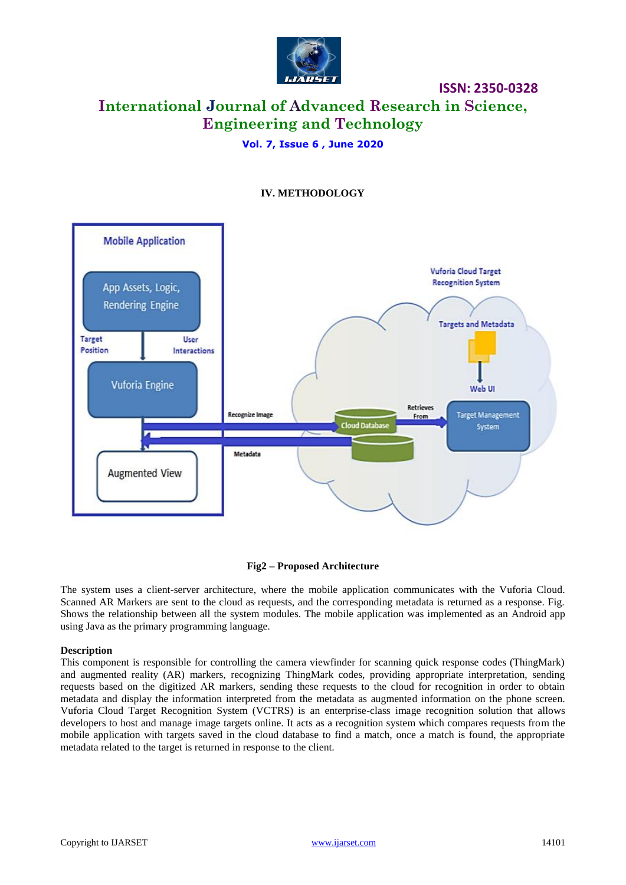

# **International Journal of Advanced Research in Science, Engineering and Technology**

**ISSN: 2350-0328**

#### **Vol. 7, Issue 6 , June 2020**



#### **IV. METHODOLOGY**

#### **Fig2 – Proposed Architecture**

The system uses a client-server architecture, where the mobile application communicates with the Vuforia Cloud. Scanned AR Markers are sent to the cloud as requests, and the corresponding metadata is returned as a response. Fig. Shows the relationship between all the system modules. The mobile application was implemented as an Android app using Java as the primary programming language.

#### **Description**

This component is responsible for controlling the camera viewfinder for scanning quick response codes (ThingMark) and augmented reality (AR) markers, recognizing ThingMark codes, providing appropriate interpretation, sending requests based on the digitized AR markers, sending these requests to the cloud for recognition in order to obtain metadata and display the information interpreted from the metadata as augmented information on the phone screen. Vuforia Cloud Target Recognition System (VCTRS) is an enterprise-class image recognition solution that allows developers to host and manage image targets online. It acts as a recognition system which compares requests from the mobile application with targets saved in the cloud database to find a match, once a match is found, the appropriate metadata related to the target is returned in response to the client.